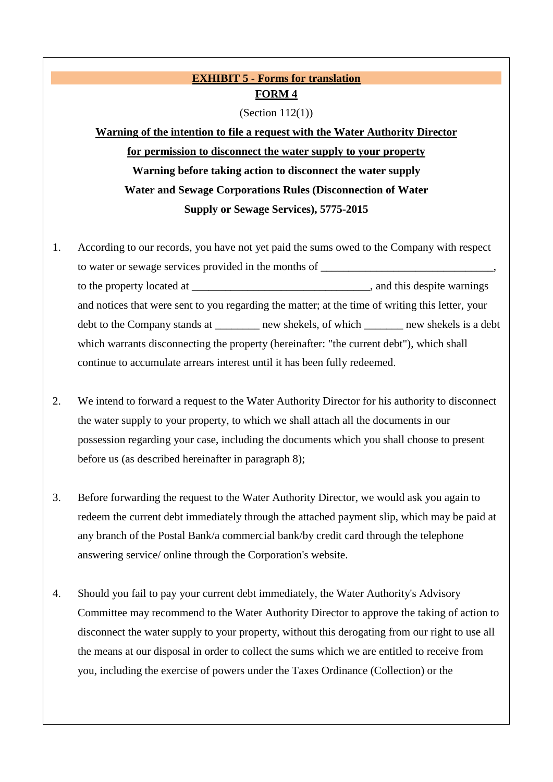### **EXHIBIT 5 - Forms for translation FORM 4**

(Section  $112(1)$ )

**Warning of the intention to file a request with the Water Authority Director for permission to disconnect the water supply to your property Warning before taking action to disconnect the water supply Water and Sewage Corporations Rules (Disconnection of Water Supply or Sewage Services), 5775-2015**

- 1. According to our records, you have not yet paid the sums owed to the Company with respect to water or sewage services provided in the months of to the property located at \_\_\_\_\_\_\_\_\_\_\_\_\_\_\_\_\_\_\_\_\_\_\_\_\_\_\_\_\_\_\_\_, and this despite warnings and notices that were sent to you regarding the matter; at the time of writing this letter, your debt to the Company stands at \_\_\_\_\_\_\_\_ new shekels, of which \_\_\_\_\_\_\_ new shekels is a debt which warrants disconnecting the property (hereinafter: "the current debt"), which shall continue to accumulate arrears interest until it has been fully redeemed.
- 2. We intend to forward a request to the Water Authority Director for his authority to disconnect the water supply to your property, to which we shall attach all the documents in our possession regarding your case, including the documents which you shall choose to present before us (as described hereinafter in paragraph 8);
- 3. Before forwarding the request to the Water Authority Director, we would ask you again to redeem the current debt immediately through the attached payment slip, which may be paid at any branch of the Postal Bank/a commercial bank/by credit card through the telephone answering service/ online through the Corporation's website.
- 4. Should you fail to pay your current debt immediately, the Water Authority's Advisory Committee may recommend to the Water Authority Director to approve the taking of action to disconnect the water supply to your property, without this derogating from our right to use all the means at our disposal in order to collect the sums which we are entitled to receive from you, including the exercise of powers under the Taxes Ordinance (Collection) or the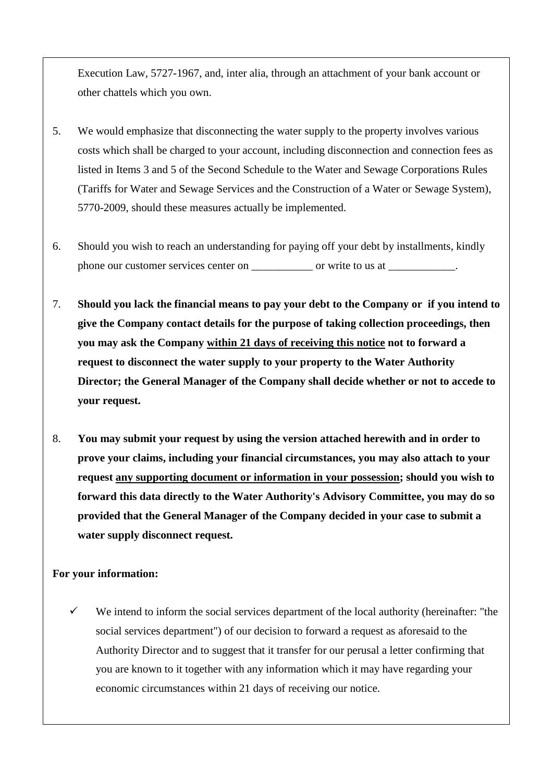Execution Law, 5727-1967, and, inter alia, through an attachment of your bank account or other chattels which you own.

- 5. We would emphasize that disconnecting the water supply to the property involves various costs which shall be charged to your account, including disconnection and connection fees as listed in Items 3 and 5 of the Second Schedule to the Water and Sewage Corporations Rules (Tariffs for Water and Sewage Services and the Construction of a Water or Sewage System), 5770-2009, should these measures actually be implemented.
- 6. Should you wish to reach an understanding for paying off your debt by installments, kindly phone our customer services center on \_\_\_\_\_\_\_\_\_\_\_ or write to us at \_\_\_\_\_\_\_\_\_\_\_\_.
- 7. **Should you lack the financial means to pay your debt to the Company or if you intend to give the Company contact details for the purpose of taking collection proceedings, then you may ask the Company within 21 days of receiving this notice not to forward a request to disconnect the water supply to your property to the Water Authority Director; the General Manager of the Company shall decide whether or not to accede to your request.**
- 8. **You may submit your request by using the version attached herewith and in order to prove your claims, including your financial circumstances, you may also attach to your request any supporting document or information in your possession; should you wish to forward this data directly to the Water Authority's Advisory Committee, you may do so provided that the General Manager of the Company decided in your case to submit a water supply disconnect request.**

#### **For your information:**

 We intend to inform the social services department of the local authority (hereinafter: "the social services department") of our decision to forward a request as aforesaid to the Authority Director and to suggest that it transfer for our perusal a letter confirming that you are known to it together with any information which it may have regarding your economic circumstances within 21 days of receiving our notice.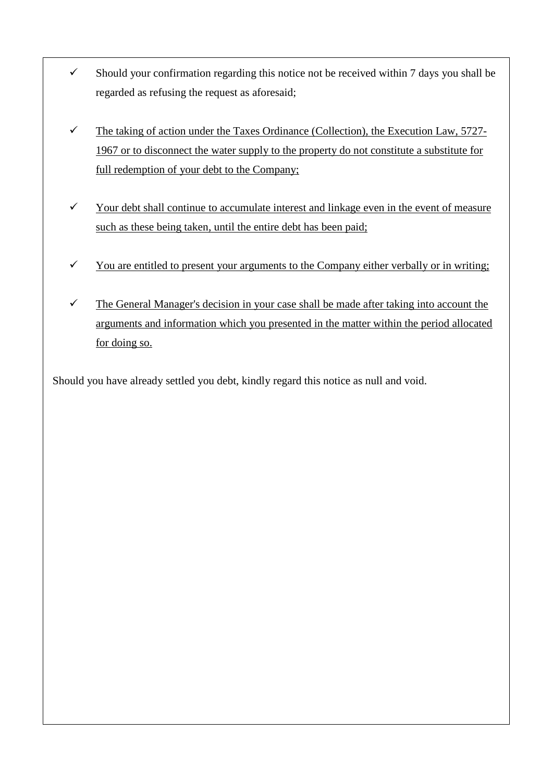- $\checkmark$  Should your confirmation regarding this notice not be received within 7 days you shall be regarded as refusing the request as aforesaid;
- $\checkmark$  The taking of action under the Taxes Ordinance (Collection), the Execution Law, 5727-1967 or to disconnect the water supply to the property do not constitute a substitute for full redemption of your debt to the Company;
- $\checkmark$  Your debt shall continue to accumulate interest and linkage even in the event of measure such as these being taken, until the entire debt has been paid;
- $\checkmark$  You are entitled to present your arguments to the Company either verbally or in writing;
- $\checkmark$  The General Manager's decision in your case shall be made after taking into account the arguments and information which you presented in the matter within the period allocated for doing so.

Should you have already settled you debt, kindly regard this notice as null and void.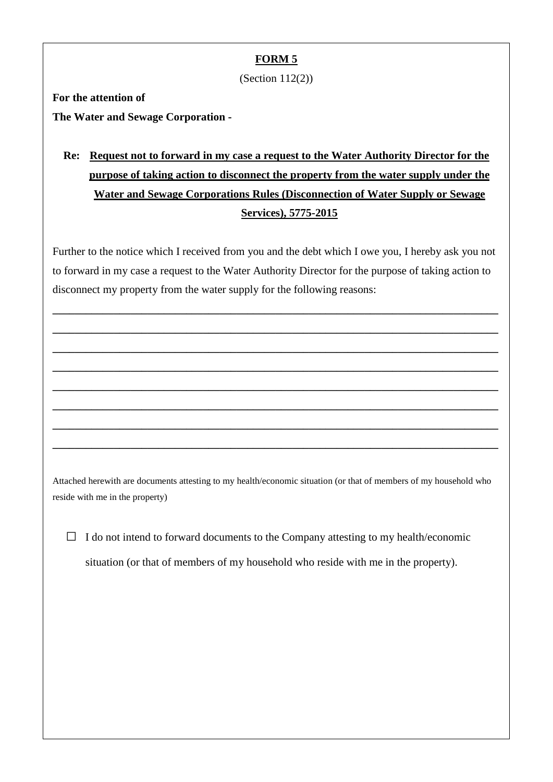#### **FORM 5**

(Section 112(2))

**For the attention of**

**The Water and Sewage Corporation -**

# **Re: Request not to forward in my case a request to the Water Authority Director for the purpose of taking action to disconnect the property from the water supply under the Water and Sewage Corporations Rules (Disconnection of Water Supply or Sewage Services), 5775-2015**

Further to the notice which I received from you and the debt which I owe you, I hereby ask you not to forward in my case a request to the Water Authority Director for the purpose of taking action to disconnect my property from the water supply for the following reasons:

**\_\_\_\_\_\_\_\_\_\_\_\_\_\_\_\_\_\_\_\_\_\_\_\_\_\_\_\_\_\_\_\_\_\_\_\_\_\_\_\_\_\_\_\_\_\_\_\_\_\_\_\_\_\_\_\_\_\_\_\_\_\_\_\_\_\_\_\_\_\_\_\_\_\_\_\_\_\_\_\_**

**\_\_\_\_\_\_\_\_\_\_\_\_\_\_\_\_\_\_\_\_\_\_\_\_\_\_\_\_\_\_\_\_\_\_\_\_\_\_\_\_\_\_\_\_\_\_\_\_\_\_\_\_\_\_\_\_\_\_\_\_\_\_\_\_\_\_\_\_\_\_\_\_\_\_\_\_\_\_\_\_**

**\_\_\_\_\_\_\_\_\_\_\_\_\_\_\_\_\_\_\_\_\_\_\_\_\_\_\_\_\_\_\_\_\_\_\_\_\_\_\_\_\_\_\_\_\_\_\_\_\_\_\_\_\_\_\_\_\_\_\_\_\_\_\_\_\_\_\_\_\_\_\_\_\_\_\_\_\_\_\_\_**

**\_\_\_\_\_\_\_\_\_\_\_\_\_\_\_\_\_\_\_\_\_\_\_\_\_\_\_\_\_\_\_\_\_\_\_\_\_\_\_\_\_\_\_\_\_\_\_\_\_\_\_\_\_\_\_\_\_\_\_\_\_\_\_\_\_\_\_\_\_\_\_\_\_\_\_\_\_\_\_\_**

**\_\_\_\_\_\_\_\_\_\_\_\_\_\_\_\_\_\_\_\_\_\_\_\_\_\_\_\_\_\_\_\_\_\_\_\_\_\_\_\_\_\_\_\_\_\_\_\_\_\_\_\_\_\_\_\_\_\_\_\_\_\_\_\_\_\_\_\_\_\_\_\_\_\_\_\_\_\_\_\_**

**\_\_\_\_\_\_\_\_\_\_\_\_\_\_\_\_\_\_\_\_\_\_\_\_\_\_\_\_\_\_\_\_\_\_\_\_\_\_\_\_\_\_\_\_\_\_\_\_\_\_\_\_\_\_\_\_\_\_\_\_\_\_\_\_\_\_\_\_\_\_\_\_\_\_\_\_\_\_\_\_**

**\_\_\_\_\_\_\_\_\_\_\_\_\_\_\_\_\_\_\_\_\_\_\_\_\_\_\_\_\_\_\_\_\_\_\_\_\_\_\_\_\_\_\_\_\_\_\_\_\_\_\_\_\_\_\_\_\_\_\_\_\_\_\_\_\_\_\_\_\_\_\_\_\_\_\_\_\_\_\_\_**

**\_\_\_\_\_\_\_\_\_\_\_\_\_\_\_\_\_\_\_\_\_\_\_\_\_\_\_\_\_\_\_\_\_\_\_\_\_\_\_\_\_\_\_\_\_\_\_\_\_\_\_\_\_\_\_\_\_\_\_\_\_\_\_\_\_\_\_\_\_\_\_\_\_\_\_\_\_\_\_\_**

Attached herewith are documents attesting to my health/economic situation (or that of members of my household who reside with me in the property)

 $\Box$  I do not intend to forward documents to the Company attesting to my health/economic situation (or that of members of my household who reside with me in the property).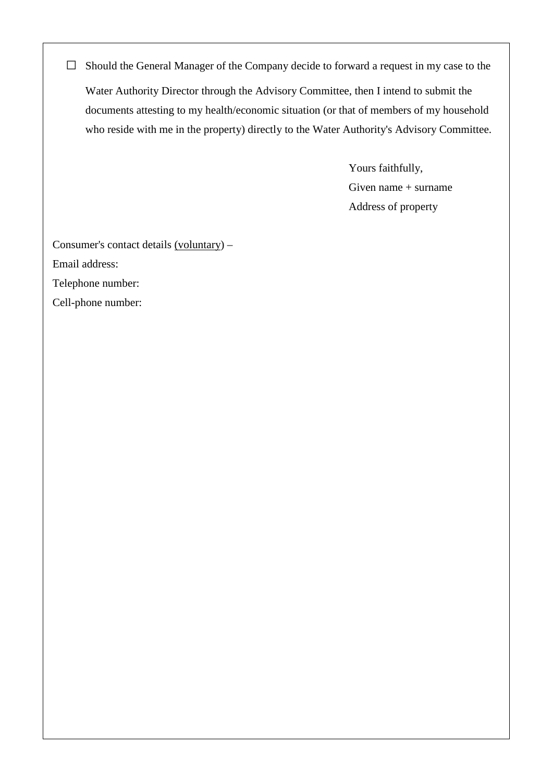□ Should the General Manager of the Company decide to forward a request in my case to the Water Authority Director through the Advisory Committee, then I intend to submit the documents attesting to my health/economic situation (or that of members of my household who reside with me in the property) directly to the Water Authority's Advisory Committee.

> Yours faithfully, Given name + surname Address of property

Consumer's contact details (voluntary) –

Email address:

Telephone number:

Cell-phone number: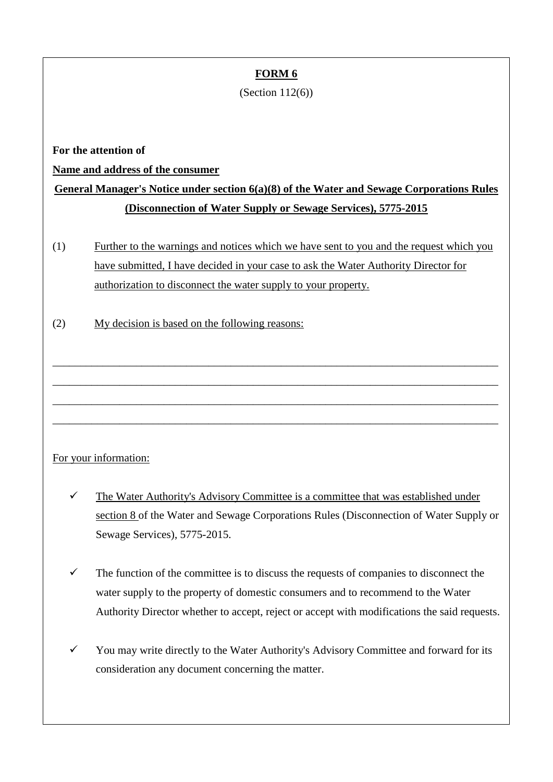### **FORM 6**

#### (Section 112(6))

**For the attention of**

**Name and address of the consumer**

# **General Manager's Notice under section 6(a)(8) of the Water and Sewage Corporations Rules (Disconnection of Water Supply or Sewage Services), 5775-2015**

(1) Further to the warnings and notices which we have sent to you and the request which you have submitted, I have decided in your case to ask the Water Authority Director for authorization to disconnect the water supply to your property.

\_\_\_\_\_\_\_\_\_\_\_\_\_\_\_\_\_\_\_\_\_\_\_\_\_\_\_\_\_\_\_\_\_\_\_\_\_\_\_\_\_\_\_\_\_\_\_\_\_\_\_\_\_\_\_\_\_\_\_\_\_\_\_\_\_\_\_\_\_\_\_\_\_\_\_\_\_\_\_\_

\_\_\_\_\_\_\_\_\_\_\_\_\_\_\_\_\_\_\_\_\_\_\_\_\_\_\_\_\_\_\_\_\_\_\_\_\_\_\_\_\_\_\_\_\_\_\_\_\_\_\_\_\_\_\_\_\_\_\_\_\_\_\_\_\_\_\_\_\_\_\_\_\_\_\_\_\_\_\_\_

\_\_\_\_\_\_\_\_\_\_\_\_\_\_\_\_\_\_\_\_\_\_\_\_\_\_\_\_\_\_\_\_\_\_\_\_\_\_\_\_\_\_\_\_\_\_\_\_\_\_\_\_\_\_\_\_\_\_\_\_\_\_\_\_\_\_\_\_\_\_\_\_\_\_\_\_\_\_\_\_

\_\_\_\_\_\_\_\_\_\_\_\_\_\_\_\_\_\_\_\_\_\_\_\_\_\_\_\_\_\_\_\_\_\_\_\_\_\_\_\_\_\_\_\_\_\_\_\_\_\_\_\_\_\_\_\_\_\_\_\_\_\_\_\_\_\_\_\_\_\_\_\_\_\_\_\_\_\_\_\_

(2) My decision is based on the following reasons:

#### For your information:

- $\checkmark$  The Water Authority's Advisory Committee is a committee that was established under section 8 of the Water and Sewage Corporations Rules (Disconnection of Water Supply or Sewage Services), 5775-2015.
- $\checkmark$  The function of the committee is to discuss the requests of companies to disconnect the water supply to the property of domestic consumers and to recommend to the Water Authority Director whether to accept, reject or accept with modifications the said requests.
- You may write directly to the Water Authority's Advisory Committee and forward for its consideration any document concerning the matter.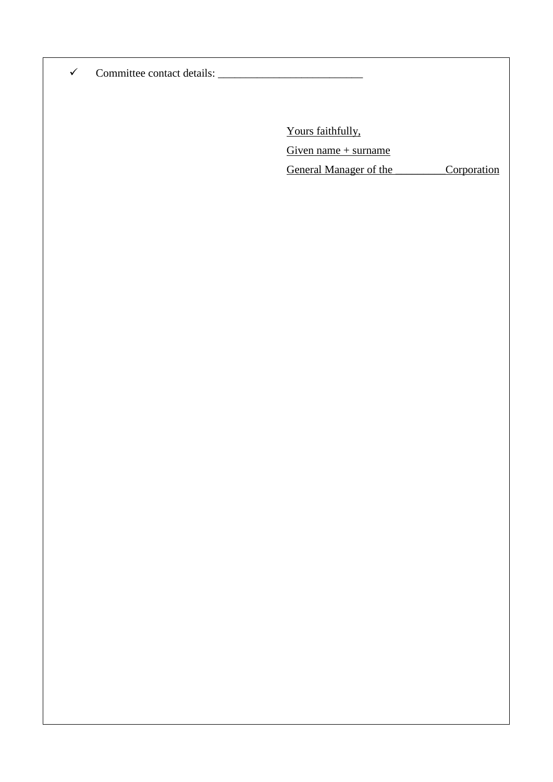Committee contact details: \_\_\_\_\_\_\_\_\_\_\_\_\_\_\_\_\_\_\_\_\_\_\_\_\_\_

Yours faithfully,

Given name  $+$  surname

General Manager of the Corporation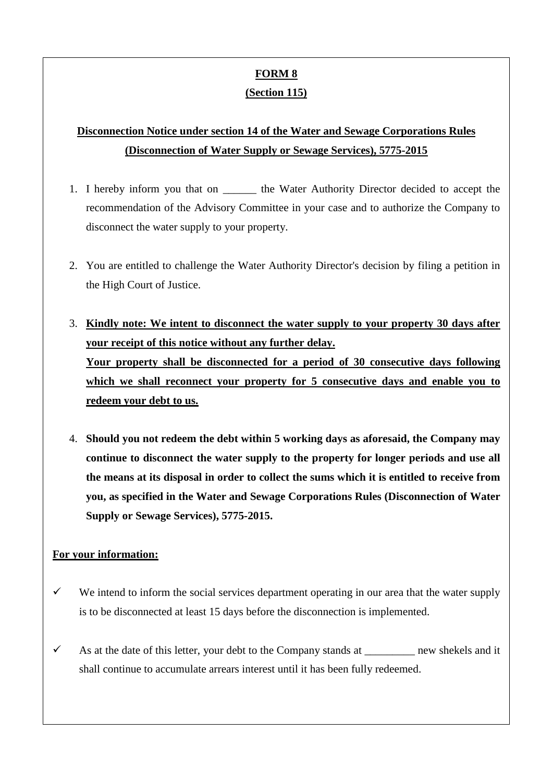### **FORM 8 (Section 115)**

## **Disconnection Notice under section 14 of the Water and Sewage Corporations Rules (Disconnection of Water Supply or Sewage Services), 5775-2015**

- 1. I hereby inform you that on the Water Authority Director decided to accept the recommendation of the Advisory Committee in your case and to authorize the Company to disconnect the water supply to your property.
- 2. You are entitled to challenge the Water Authority Director's decision by filing a petition in the High Court of Justice.
- 3. **Kindly note: We intent to disconnect the water supply to your property 30 days after your receipt of this notice without any further delay. Your property shall be disconnected for a period of 30 consecutive days following which we shall reconnect your property for 5 consecutive days and enable you to redeem your debt to us.**
- 4. **Should you not redeem the debt within 5 working days as aforesaid, the Company may continue to disconnect the water supply to the property for longer periods and use all the means at its disposal in order to collect the sums which it is entitled to receive from you, as specified in the Water and Sewage Corporations Rules (Disconnection of Water Supply or Sewage Services), 5775-2015.**

#### **For your information:**

- $\checkmark$  We intend to inform the social services department operating in our area that the water supply is to be disconnected at least 15 days before the disconnection is implemented.
- $\checkmark$  As at the date of this letter, your debt to the Company stands at \_\_\_\_\_\_\_\_\_ new shekels and it shall continue to accumulate arrears interest until it has been fully redeemed.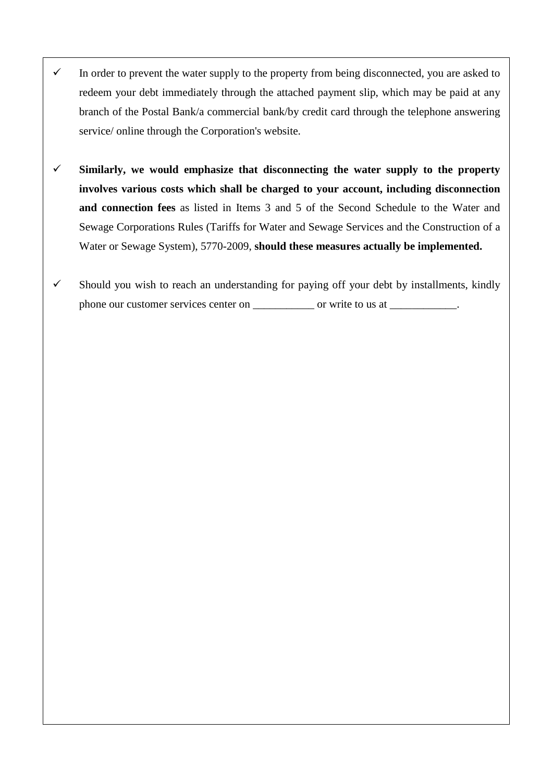- $\checkmark$  In order to prevent the water supply to the property from being disconnected, you are asked to redeem your debt immediately through the attached payment slip, which may be paid at any branch of the Postal Bank/a commercial bank/by credit card through the telephone answering service/ online through the Corporation's website.
- $\checkmark$  Similarly, we would emphasize that disconnecting the water supply to the property **involves various costs which shall be charged to your account, including disconnection and connection fees** as listed in Items 3 and 5 of the Second Schedule to the Water and Sewage Corporations Rules (Tariffs for Water and Sewage Services and the Construction of a Water or Sewage System), 5770-2009, **should these measures actually be implemented.**
- $\checkmark$  Should you wish to reach an understanding for paying off your debt by installments, kindly phone our customer services center on \_\_\_\_\_\_\_\_\_\_\_\_ or write to us at \_\_\_\_\_\_\_\_\_\_\_